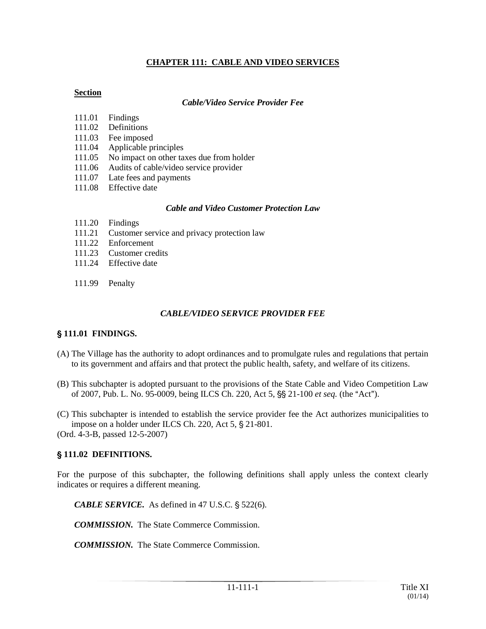## **CHAPTER 111: CABLE AND VIDEO SERVICES**

#### **Section**

#### *Cable/Video Service Provider Fee*

- 111.01 Findings
- 111.02 Definitions
- 111.03 Fee imposed
- 111.04 Applicable principles
- 111.05 No impact on other taxes due from holder
- 111.06 Audits of cable/video service provider
- 111.07 Late fees and payments
- 111.08 Effective date

#### *Cable and Video Customer Protection Law*

- 111.20 Findings
- 111.21 Customer service and privacy protection law
- 111.22 Enforcement
- 111.23 Customer credits
- 111.24 Effective date
- 111.99 Penalty

#### *CABLE/VIDEO SERVICE PROVIDER FEE*

## ' **111.01 FINDINGS.**

- (A) The Village has the authority to adopt ordinances and to promulgate rules and regulations that pertain to its government and affairs and that protect the public health, safety, and welfare of its citizens.
- (B) This subchapter is adopted pursuant to the provisions of the State Cable and Video Competition Law of 2007, Pub. L. No. 95-0009, being ILCS Ch. 220, Act 5, §§ 21-100 *et seq.* (the "Act").
- (C) This subchapter is intended to establish the service provider fee the Act authorizes municipalities to impose on a holder under ILCS Ch. 220, Act  $5, §$  21-801.

(Ord. 4-3-B, passed 12-5-2007)

## ' **111.02 DEFINITIONS.**

For the purpose of this subchapter, the following definitions shall apply unless the context clearly indicates or requires a different meaning.

*CABLE SERVICE.* As defined in 47 U.S.C.  $\S$  522(6).

*COMMISSION.* The State Commerce Commission.

*COMMISSION.* The State Commerce Commission.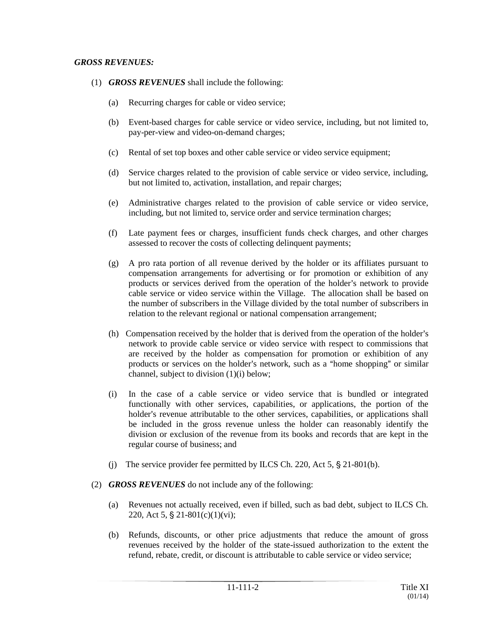- (1) *GROSS REVENUES* shall include the following:
	- (a) Recurring charges for cable or video service;
	- (b) Event-based charges for cable service or video service, including, but not limited to, pay-per-view and video-on-demand charges;
	- (c) Rental of set top boxes and other cable service or video service equipment;
	- (d) Service charges related to the provision of cable service or video service, including, but not limited to, activation, installation, and repair charges;
	- (e) Administrative charges related to the provision of cable service or video service, including, but not limited to, service order and service termination charges;
	- (f) Late payment fees or charges, insufficient funds check charges, and other charges assessed to recover the costs of collecting delinquent payments;
	- (g) A pro rata portion of all revenue derived by the holder or its affiliates pursuant to compensation arrangements for advertising or for promotion or exhibition of any products or services derived from the operation of the holder's network to provide cable service or video service within the Village. The allocation shall be based on the number of subscribers in the Village divided by the total number of subscribers in relation to the relevant regional or national compensation arrangement;
	- (h) Compensation received by the holder that is derived from the operation of the holder's network to provide cable service or video service with respect to commissions that are received by the holder as compensation for promotion or exhibition of any products or services on the holder's network, such as a "home shopping" or similar channel, subject to division (1)(i) below;
	- (i) In the case of a cable service or video service that is bundled or integrated functionally with other services, capabilities, or applications, the portion of the holder's revenue attributable to the other services, capabilities, or applications shall be included in the gross revenue unless the holder can reasonably identify the division or exclusion of the revenue from its books and records that are kept in the regular course of business; and
	- (j) The service provider fee permitted by ILCS Ch. 220, Act  $5$ ,  $\S$  21-801(b).
- (2) *GROSS REVENUES* do not include any of the following:
	- (a) Revenues not actually received, even if billed, such as bad debt, subject to ILCS Ch. 220, Act 5, § 21-801(c)(1)(vi);
	- (b) Refunds, discounts, or other price adjustments that reduce the amount of gross revenues received by the holder of the state-issued authorization to the extent the refund, rebate, credit, or discount is attributable to cable service or video service;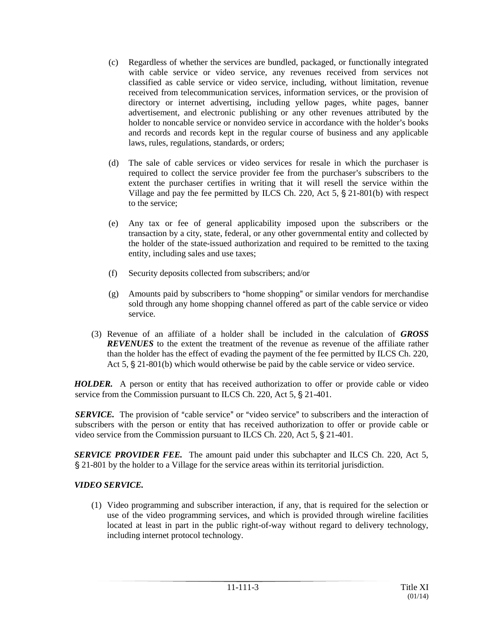- (c) Regardless of whether the services are bundled, packaged, or functionally integrated with cable service or video service, any revenues received from services not classified as cable service or video service, including, without limitation, revenue received from telecommunication services, information services, or the provision of directory or internet advertising, including yellow pages, white pages, banner advertisement, and electronic publishing or any other revenues attributed by the holder to noncable service or nonvideo service in accordance with the holder's books and records and records kept in the regular course of business and any applicable laws, rules, regulations, standards, or orders;
- (d) The sale of cable services or video services for resale in which the purchaser is required to collect the service provider fee from the purchaser's subscribers to the extent the purchaser certifies in writing that it will resell the service within the Village and pay the fee permitted by ILCS Ch. 220, Act 5,  $\S$  21-801(b) with respect to the service;
- (e) Any tax or fee of general applicability imposed upon the subscribers or the transaction by a city, state, federal, or any other governmental entity and collected by the holder of the state-issued authorization and required to be remitted to the taxing entity, including sales and use taxes;
- (f) Security deposits collected from subscribers; and/or
- $(g)$  Amounts paid by subscribers to "home shopping" or similar vendors for merchandise sold through any home shopping channel offered as part of the cable service or video service.
- (3) Revenue of an affiliate of a holder shall be included in the calculation of *GROSS REVENUES* to the extent the treatment of the revenue as revenue of the affiliate rather than the holder has the effect of evading the payment of the fee permitted by ILCS Ch. 220, Act  $5$ ,  $\S$  21-801(b) which would otherwise be paid by the cable service or video service.

*HOLDER.* A person or entity that has received authorization to offer or provide cable or video service from the Commission pursuant to ILCS Ch. 220, Act  $5$ ,  $\S$  21-401.

**SERVICE.** The provision of "cable service" or "video service" to subscribers and the interaction of subscribers with the person or entity that has received authorization to offer or provide cable or video service from the Commission pursuant to ILCS Ch. 220, Act  $5, \S$  21-401.

**SERVICE PROVIDER FEE.** The amount paid under this subchapter and ILCS Ch. 220, Act 5, ' 21-801 by the holder to a Village for the service areas within its territorial jurisdiction.

# *VIDEO SERVICE.*

(1) Video programming and subscriber interaction, if any, that is required for the selection or use of the video programming services, and which is provided through wireline facilities located at least in part in the public right-of-way without regard to delivery technology, including internet protocol technology.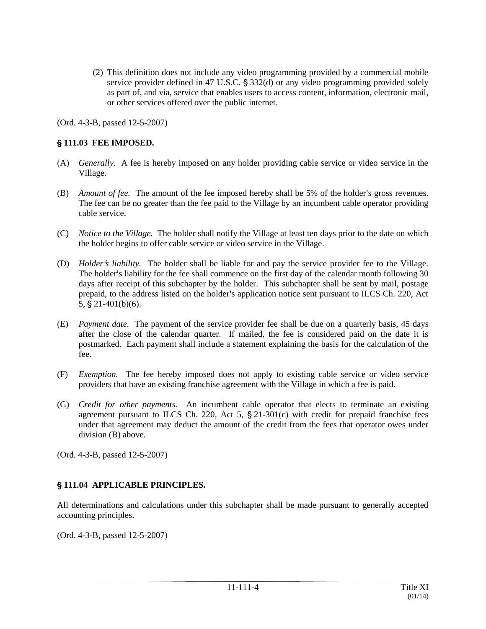(2) This definition does not include any video programming provided by a commercial mobile service provider defined in 47 U.S.C.  $\S 332(d)$  or any video programming provided solely as part of, and via, service that enables users to access content, information, electronic mail, or other services offered over the public internet.

(Ord. 4-3-B, passed 12-5-2007)

#### ' **111.03 FEE IMPOSED.**

- (A) *Generally.* A fee is hereby imposed on any holder providing cable service or video service in the Village.
- (B) *Amount of fee.* The amount of the fee imposed hereby shall be 5% of the holder's gross revenues. The fee can be no greater than the fee paid to the Village by an incumbent cable operator providing cable service.
- (C) *Notice to the Village.* The holder shall notify the Village at least ten days prior to the date on which the holder begins to offer cable service or video service in the Village.
- (D) *Holder's liability*. The holder shall be liable for and pay the service provider fee to the Village. The holder's liability for the fee shall commence on the first day of the calendar month following 30 days after receipt of this subchapter by the holder. This subchapter shall be sent by mail, postage prepaid, to the address listed on the holder's application notice sent pursuant to ILCS Ch. 220, Act  $5, §$  21-401(b)(6).
- (E) *Payment date.* The payment of the service provider fee shall be due on a quarterly basis, 45 days after the close of the calendar quarter. If mailed, the fee is considered paid on the date it is postmarked. Each payment shall include a statement explaining the basis for the calculation of the fee.
- (F) *Exemption.* The fee hereby imposed does not apply to existing cable service or video service providers that have an existing franchise agreement with the Village in which a fee is paid.
- (G) *Credit for other payments.* An incumbent cable operator that elects to terminate an existing agreement pursuant to ILCS Ch. 220, Act 5,  $\S$  21-301(c) with credit for prepaid franchise fees under that agreement may deduct the amount of the credit from the fees that operator owes under division (B) above.

(Ord. 4-3-B, passed 12-5-2007)

## ' **111.04 APPLICABLE PRINCIPLES.**

All determinations and calculations under this subchapter shall be made pursuant to generally accepted accounting principles.

(Ord. 4-3-B, passed 12-5-2007)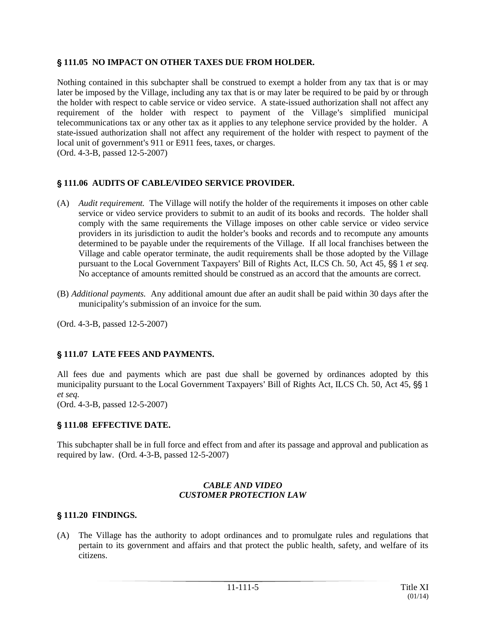#### ' **111.05 NO IMPACT ON OTHER TAXES DUE FROM HOLDER.**

Nothing contained in this subchapter shall be construed to exempt a holder from any tax that is or may later be imposed by the Village, including any tax that is or may later be required to be paid by or through the holder with respect to cable service or video service. A state-issued authorization shall not affect any requirement of the holder with respect to payment of the Village's simplified municipal telecommunications tax or any other tax as it applies to any telephone service provided by the holder. A state-issued authorization shall not affect any requirement of the holder with respect to payment of the local unit of government's 911 or E911 fees, taxes, or charges. (Ord. 4-3-B, passed 12-5-2007)

## ' **111.06 AUDITS OF CABLE/VIDEO SERVICE PROVIDER.**

- (A) *Audit requirement.* The Village will notify the holder of the requirements it imposes on other cable service or video service providers to submit to an audit of its books and records. The holder shall comply with the same requirements the Village imposes on other cable service or video service providers in its jurisdiction to audit the holder's books and records and to recompute any amounts determined to be payable under the requirements of the Village. If all local franchises between the Village and cable operator terminate, the audit requirements shall be those adopted by the Village pursuant to the Local Government Taxpayers' Bill of Rights Act, ILCS Ch. 50, Act 45, §§ 1 *et seq.* No acceptance of amounts remitted should be construed as an accord that the amounts are correct.
- (B) *Additional payments.* Any additional amount due after an audit shall be paid within 30 days after the municipality's submission of an invoice for the sum.

(Ord. 4-3-B, passed 12-5-2007)

## ' **111.07 LATE FEES AND PAYMENTS.**

All fees due and payments which are past due shall be governed by ordinances adopted by this municipality pursuant to the Local Government Taxpayers' Bill of Rights Act, ILCS Ch. 50, Act 45,  $\S$  1 *et seq.*

(Ord. 4-3-B, passed 12-5-2007)

## ' **111.08 EFFECTIVE DATE.**

This subchapter shall be in full force and effect from and after its passage and approval and publication as required by law. (Ord. 4-3-B, passed 12-5-2007)

#### *CABLE AND VIDEO CUSTOMER PROTECTION LAW*

## ' **111.20 FINDINGS.**

(A) The Village has the authority to adopt ordinances and to promulgate rules and regulations that pertain to its government and affairs and that protect the public health, safety, and welfare of its citizens.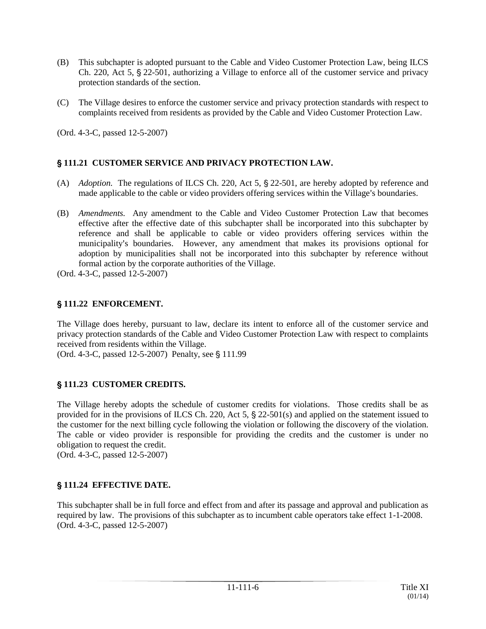- (B) This subchapter is adopted pursuant to the Cable and Video Customer Protection Law, being ILCS Ch. 220, Act 5,  $\S$  22-501, authorizing a Village to enforce all of the customer service and privacy protection standards of the section.
- (C) The Village desires to enforce the customer service and privacy protection standards with respect to complaints received from residents as provided by the Cable and Video Customer Protection Law.

(Ord. 4-3-C, passed 12-5-2007)

## ' **111.21 CUSTOMER SERVICE AND PRIVACY PROTECTION LAW.**

- (A) *Adoption.* The regulations of ILCS Ch. 220, Act 5, § 22-501, are hereby adopted by reference and made applicable to the cable or video providers offering services within the Village's boundaries.
- (B) *Amendments.* Any amendment to the Cable and Video Customer Protection Law that becomes effective after the effective date of this subchapter shall be incorporated into this subchapter by reference and shall be applicable to cable or video providers offering services within the municipality's boundaries. However, any amendment that makes its provisions optional for adoption by municipalities shall not be incorporated into this subchapter by reference without formal action by the corporate authorities of the Village.

(Ord. 4-3-C, passed 12-5-2007)

## ' **111.22 ENFORCEMENT.**

The Village does hereby, pursuant to law, declare its intent to enforce all of the customer service and privacy protection standards of the Cable and Video Customer Protection Law with respect to complaints received from residents within the Village.

(Ord. 4-3-C, passed 12-5-2007) Penalty, see § 111.99

# ' **111.23 CUSTOMER CREDITS.**

The Village hereby adopts the schedule of customer credits for violations. Those credits shall be as provided for in the provisions of ILCS Ch. 220, Act 5,  $\S$  22-501(s) and applied on the statement issued to the customer for the next billing cycle following the violation or following the discovery of the violation. The cable or video provider is responsible for providing the credits and the customer is under no obligation to request the credit.

(Ord. 4-3-C, passed 12-5-2007)

# ' **111.24 EFFECTIVE DATE.**

This subchapter shall be in full force and effect from and after its passage and approval and publication as required by law. The provisions of this subchapter as to incumbent cable operators take effect 1-1-2008. (Ord. 4-3-C, passed 12-5-2007)